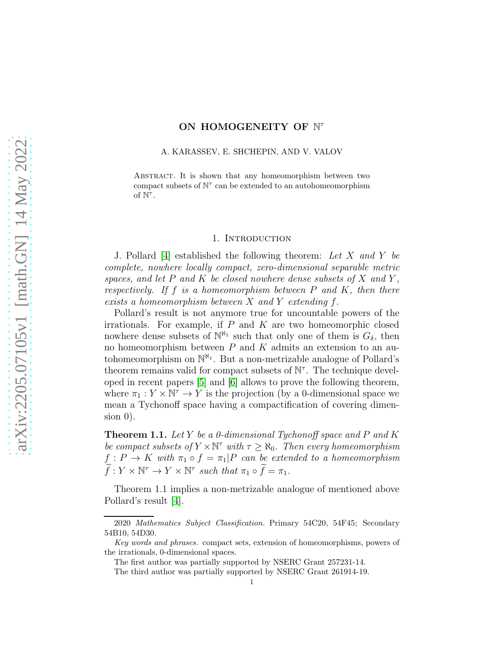# ON HOMOGENEITY OF N<sup>T</sup>

A. KARASSEV, E. SHCHEPIN, AND V. VALOV

ABSTRACT. It is shown that any homeomorphism between two compact subsets of  $N^{\tau}$  can be extended to an autohomeomorphism of  $\dot{N}^{\tau}$ .

#### 1. INTRODUCTION

J. Pollard [\[4\]](#page-4-0) established the following theorem: Let X and Y be complete, nowhere locally compact, zero-dimensional separable metric spaces, and let  $P$  and  $K$  be closed nowhere dense subsets of  $X$  and  $Y$ , respectively. If f is a homeomorphism between  $P$  and  $K$ , then there exists a homeomorphism between X and Y extending f.

Pollard's result is not anymore true for uncountable powers of the irrationals. For example, if  $P$  and  $K$  are two homeomorphic closed nowhere dense subsets of  $\mathbb{N}^{\aleph_1}$  such that only one of them is  $G_\delta$ , then no homeomorphism between  $P$  and  $K$  admits an extension to an autohomeomorphism on  $\mathbb{N}^{\aleph_1}$ . But a non-metrizable analogue of Pollard's theorem remains valid for compact subsets of  $\mathbb{N}^{\tau}$ . The technique developed in recent papers [\[5\]](#page-4-1) and [\[6\]](#page-4-2) allows to prove the following theorem, where  $\pi_1 : Y \times \mathbb{N}^{\tau} \to Y$  is the projection (by a 0-dimensional space we mean a Tychonoff space having a compactification of covering dimen- $\sin 0$ ).

**Theorem 1.1.** Let Y be a 0-dimensional Tychonoff space and P and K be compact subsets of  $Y \times \mathbb{N}^{\tau}$  with  $\tau \geq \aleph_0$ . Then every homeomorphism  $f: P \to K$  with  $\pi_1 \circ f = \pi_1 | P$  can be extended to a homeomorphism  $\widetilde{f}: Y \times \mathbb{N}^{\tau} \to Y \times \mathbb{N}^{\tau}$  such that  $\pi_1 \circ \widetilde{f} = \pi_1$ .

Theorem 1.1 implies a non-metrizable analogue of mentioned above Pollard's result [\[4\]](#page-4-0).

<sup>2020</sup> Mathematics Subject Classification. Primary 54C20, 54F45; Secondary 54B10, 54D30.

Key words and phrases. compact sets, extension of homeomorphisms, powers of the irrationals, 0-dimensional spaces.

The first author was partially supported by NSERC Grant 257231-14.

The third author was partially supported by NSERC Grant 261914-19.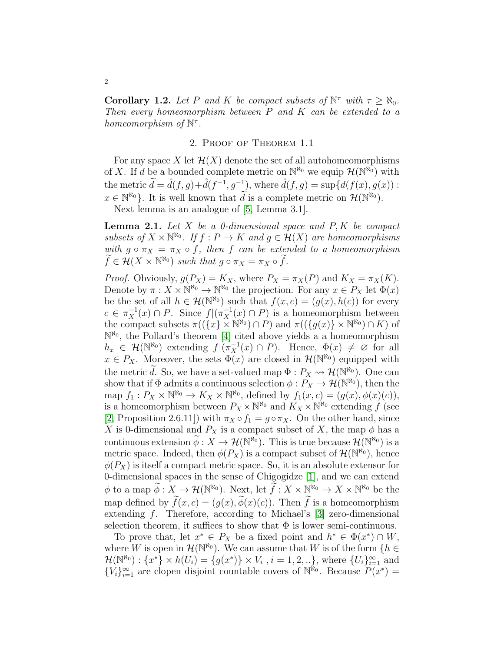**Corollary 1.2.** Let P and K be compact subsets of  $\mathbb{N}^{\tau}$  with  $\tau \geq \aleph_0$ . Then every homeomorphism between  $P$  and  $K$  can be extended to a homeomorphism of  $\mathbb{N}^{\tau}$ .

### 2. Proof of Theorem 1.1

For any space X let  $\mathcal{H}(X)$  denote the set of all autohomeomorphisms of X. If d be a bounded complete metric on  $\mathbb{N}^{\aleph_0}$  we equip  $\mathcal{H}(\mathbb{N}^{\aleph_0})$  with the metric  $\tilde{d} = \hat{d}(f, g) + \hat{d}(f^{-1}, g^{-1}),$  where  $\hat{d}(f, g) = \sup\{d(f(x), g(x))$ :  $x \in \mathbb{N}^{\aleph_0}$ . It is well known that  $\widetilde{d}$  is a complete metric on  $\mathcal{H}(\mathbb{N}^{\aleph_0})$ .

Next lemma is an analogue of [\[5,](#page-4-1) Lemma 3.1].

**Lemma 2.1.** Let  $X$  be a 0-dimensional space and  $P, K$  be compact subsets of  $X \times \mathbb{N}^{\aleph_0}$ . If  $f : P \to K$  and  $g \in \mathcal{H}(X)$  are homeomorphisms with  $g \circ \pi_X = \pi_X \circ f$ , then f can be extended to a homeomorphism  $\widetilde{f} \in \mathcal{H}(X \times \mathbb{N}^{\aleph_0})$  such that  $g \circ \pi_X = \pi_X \circ \widetilde{f}$ .

*Proof.* Obviously,  $g(P_X) = K_X$ , where  $P_X = \pi_X(P)$  and  $K_X = \pi_X(K)$ . Denote by  $\pi: X \times \mathbb{N}^{\aleph_0} \to \mathbb{N}^{\aleph_0}$  the projection. For any  $x \in P_X$  let  $\Phi(x)$ be the set of all  $h \in \mathcal{H}(\mathbb{N}^{\aleph_0})$  such that  $f(x,c) = (g(x), h(c))$  for every  $c \in \pi_X^{-1}(x) \cap P$ . Since  $f |(\pi_X^{-1}(x) \cap P)$  is a homeomorphism between the compact subsets  $\pi((\lbrace x \rbrace \times \mathbb{N}^{\aleph_0}) \cap P)$  and  $\pi((\lbrace g(x) \rbrace \times \mathbb{N}^{\aleph_0}) \cap K)$  of  $\mathbb{N}^{\aleph_0}$ , the Pollard's theorem [\[4\]](#page-4-0) cited above yields a a homeomorphism  $h_x \in \mathcal{H}(\mathbb{N}^{\aleph_0})$  extending  $f | (\pi_X^{-1}(x) \cap P)$ . Hence,  $\Phi(x) \neq \emptyset$  for all  $x \in P_X$ . Moreover, the sets  $\Phi(x)$  are closed in  $\mathcal{H}(\mathbb{N}^{\aleph_0})$  equipped with the metric  $\widetilde{d}$ . So, we have a set-valued map  $\Phi: P_X \leadsto \mathcal{H}(\mathbb{N}^{\aleph_0})$ . One can show that if  $\Phi$  admits a continuous selection  $\phi: P_X \to \mathcal{H}(\mathbb{N}^{\aleph_0})$ , then the map  $f_1: P_X \times \mathbb{N}^{\aleph_0} \to K_X \times \mathbb{N}^{\aleph_0}$ , defined by  $f_1(x,c) = (g(x), \phi(x)(c)),$ is a homeomorphism between  $P_X \times \mathbb{N}^{\aleph_0}$  and  $K_X \times \mathbb{N}^{\aleph_0}$  extending f (see [\[2,](#page-4-3) Proposition 2.6.11]) with  $\pi_X \circ f_1 = g \circ \pi_X$ . On the other hand, since X is 0-dimensional and  $P_X$  is a compact subset of X, the map  $\phi$  has a continuous extension  $\widetilde{\phi}: X \to \mathcal{H}(\mathbb{N}^{\aleph_0})$ . This is true because  $\mathcal{H}(\mathbb{N}^{\aleph_0})$  is a metric space. Indeed, then  $\phi(P_X)$  is a compact subset of  $\mathcal{H}(\mathbb{N}^{\aleph_0})$ , hence  $\phi(P_X)$  is itself a compact metric space. So, it is an absolute extensor for 0-dimensional spaces in the sense of Chigogidze [\[1\]](#page-4-4), and we can extend  $\phi$  to a map  $\widetilde{\phi}: X \to \mathcal{H}(\mathbb{N}^{\aleph_0})$ . Next, let  $\widetilde{f}: X \times \mathbb{N}^{\aleph_0} \to X \times \mathbb{N}^{\aleph_0}$  be the map defined by  $\widetilde{f}(x, c) = (g(x), \widetilde{\phi}(x)(c))$ . Then  $\widetilde{f}$  is a homeomorphism extending f. Therefore, according to Michael's [\[3\]](#page-4-5) zero-dimensional selection theorem, it suffices to show that  $\Phi$  is lower semi-continuous.

To prove that, let  $x^* \in P_X$  be a fixed point and  $h^* \in \Phi(x^*) \cap W$ , where W is open in  $\mathcal{H}(\mathbb{N}^{\aleph_0})$ . We can assume that W is of the form  $\{h \in \mathbb{N}\}$  $\mathcal{H}(\mathbb{N}^{\aleph_0}) : \{x^*\}\times h(U_i) = \{g(x^*)\} \times V_i, i = 1, 2, ...\}$ , where  $\{U_i\}_{i=1}^{\infty}$  and  ${V_i}_{i=1}^{\infty}$  are clopen disjoint countable covers of  $\mathbb{N}^{\hat{\aleph}_0}$ . Because  $P(x^*)$  =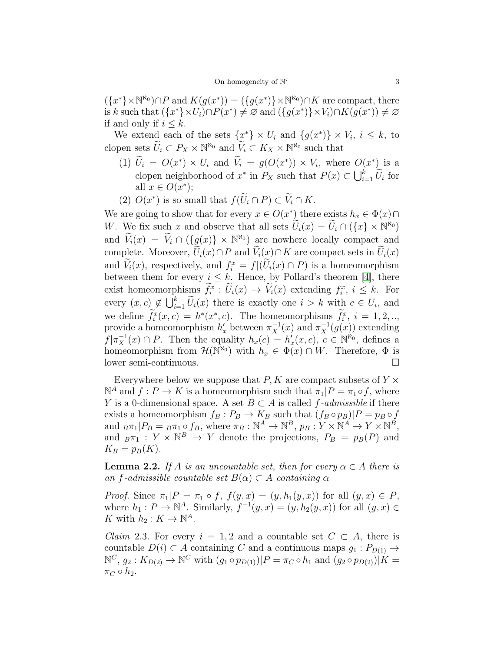$({x^*}\times\mathbb{N}^{\aleph_0})\cap P$  and  $K(g(x^*))=(g(x^*)\times\mathbb{N}^{\aleph_0})\cap K$  are compact, there is k such that  $({x^*} \times U_i) \cap P(x^*) \neq \emptyset$  and  $({g(x^*)} \times V_i) \cap K(g(x^*)) \neq \emptyset$ if and only if  $i \leq k$ .

We extend each of the sets  $\{x^*\}\times U_i$  and  $\{g(x^*)\}\times V_i$ ,  $i\leq k$ , to clopen sets  $\widetilde{U}_i \subset P_X \times \mathbb{N}^{\aleph_0}$  and  $\widetilde{V}_i \subset K_X \times \mathbb{N}^{\aleph_0}$  such that

- (1)  $U_i = O(x^*) \times U_i$  and  $V_i = g(O(x^*)) \times V_i$ , where  $O(x^*)$  is a clopen neighborhood of  $x^*$  in  $P_X$  such that  $P(x) \subset \bigcup_{i=1}^k \widetilde{U}_i$  for all  $x \in O(x^*);$
- (2)  $O(x^*)$  is so small that  $f(\overline{U}_i \cap P) \subset \overline{V}_i \cap K$ .

We are going to show that for every  $x \in O(x^*)$  there exists  $h_x \in \Phi(x) \cap$ W. We fix such x and observe that all sets  $\widetilde{U}_i(x) = \widetilde{U}_i \cap (\{x\} \times \mathbb{N}^{\aleph_0})$ and  $\widetilde{V}_i(x) = \widetilde{V}_i \cap (\{g(x)\} \times \mathbb{N}^{\aleph_0})$  are nowhere locally compact and complete. Moreover,  $\widetilde{U}_i(x) \cap P$  and  $\widetilde{V}_i(x) \cap K$  are compact sets in  $\widetilde{U}_i(x)$ and  $V_i(x)$ , respectively, and  $f_i^x = f|(U_i(x) \cap P)$  is a homeomorphism between them for every  $i \leq k$ . Hence, by Pollard's theorem [\[4\]](#page-4-0), there exist homeomorphisms  $f_i^x : U_i(x) \to V_i(x)$  extending  $f_i^x, i \leq k$ . For every  $(x, c) \notin \bigcup_{i=1}^k \widetilde{U}_i(x)$  there is exactly one  $i > k$  with  $c \in U_i$ , and we define  $f_i^x(x, c) = h^*(x^*, c)$ . The homeomorphisms  $f_i^x, i = 1, 2, ...$ provide a homeomorphism  $h'_x$  between  $\pi_X^{-1}(x)$  and  $\pi_X^{-1}(g(x))$  extending  $f|\pi_X^{-1}(x) \cap P$ . Then the equality  $h_x(c) = h'_x(x, c), c \in \mathbb{N}^{\aleph_0}$ , defines a homeomorphism from  $\mathcal{H}(\mathbb{N}^{\aleph_0})$  with  $h_x \in \Phi(x) \cap W$ . Therefore,  $\Phi$  is lower semi-continuous.

Everywhere below we suppose that  $P, K$  are compact subsets of  $Y \times$  $\mathbb{N}^A$  and  $f: P \to K$  is a homeomorphism such that  $\pi_1 | P = \pi_1 \circ f$ , where Y is a 0-dimensional space. A set  $B \subset A$  is called f-admissible if there exists a homeomorphism  $f_B : P_B \to K_B$  such that  $(f_B \circ p_B)|P = p_B \circ f$ and  ${}_B\pi_1|P_B = {}_B\pi_1 \circ f_B$ , where  $\pi_B : \mathbb{N}^A \to \mathbb{N}^B$ ,  $p_B : Y \times \mathbb{N}^A \to Y \times \mathbb{N}^B$ , and  $_B\pi_1: Y \times \mathbb{N}^B \to Y$  denote the projections,  $P_B = p_B(P)$  and  $K_B = p_B(K)$ .

**Lemma 2.2.** If A is an uncountable set, then for every  $\alpha \in A$  there is an f-admissible countable set  $B(\alpha) \subset A$  containing  $\alpha$ 

*Proof.* Since  $\pi_1|P = \pi_1 \circ f$ ,  $f(y, x) = (y, h_1(y, x))$  for all  $(y, x) \in P$ , where  $h_1: P \to \mathbb{N}^A$ . Similarly,  $f^{-1}(y, x) = (y, h_2(y, x))$  for all  $(y, x) \in$ K with  $h_2: K \to \mathbb{N}^A$ .

*Claim* 2.3. For every  $i = 1, 2$  and a countable set  $C \subset A$ , there is countable  $D(i) \subset A$  containing C and a continuous maps  $g_1 : P_{D(1)} \to$  $\mathbb{N}^C, g_2: K_{D(2)} \to \mathbb{N}^C$  with  $(g_1 \circ p_{D(1)})|P = \pi_C \circ h_1$  and  $(g_2 \circ p_{D(2)})|K =$  $\pi_C \circ h_2$ .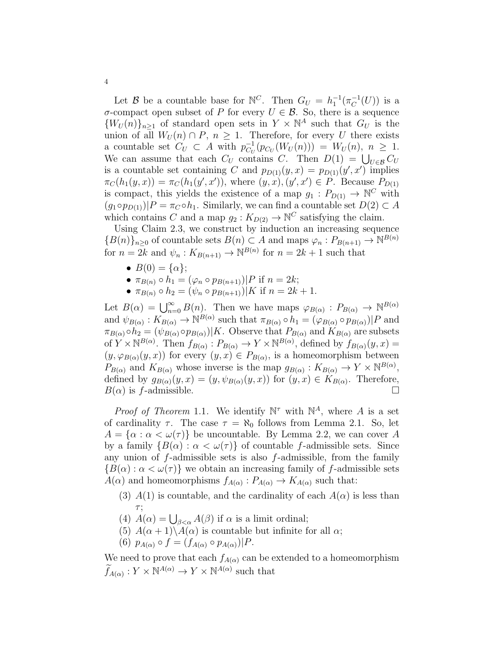Let B be a countable base for  $\mathbb{N}^C$ . Then  $G_U = h_1^{-1}(\pi_C^{-1}(U))$  is a σ-compact open subset of P for every  $U \in \mathcal{B}$ . So, there is a sequence  ${W_U(n)}_{n\geq 1}$  of standard open sets in  $Y \times \mathbb{N}^A$  such that  $G_U$  is the union of all  $W_U(n) \cap P$ ,  $n \geq 1$ . Therefore, for every U there exists a countable set  $C_U \subset A$  with  $p_{C_U}^{-1}(p_{C_U}(W_U(n))) = W_U(n)$ ,  $n \geq 1$ . We can assume that each  $C_U$  contains C. Then  $D(1) = \bigcup_{U \in \mathcal{B}} C_U$ is a countable set containing C and  $p_{D(1)}(y, x) = p_{D(1)}(y', x')$  implies  $\pi_C(h_1(y, x)) = \pi_C(h_1(y', x'))$ , where  $(y, x), (y', x') \in P$ . Because  $P_{D(1)}$ is compact, this yields the existence of a map  $g_1: P_{D(1)} \to \mathbb{N}^C$  with  $(g_1 \circ p_{D(1)})|P = \pi_C \circ h_1$ . Similarly, we can find a countable set  $D(2) \subset A$ which contains C and a map  $g_2: K_{D(2)} \to \mathbb{N}^C$  satisfying the claim.

Using Claim 2.3, we construct by induction an increasing sequence  ${B(n)}_{n\geq 0}$  of countable sets  $B(n) \subset A$  and maps  $\varphi_n : P_{B(n+1)} \to \mathbb{N}^{B(n)}$ for  $n = 2k$  and  $\psi_n : K_{B(n+1)} \to \mathbb{N}^{B(n)}$  for  $n = 2k + 1$  such that

- $B(0) = {\alpha}$ ;
- $\pi_{B(n)} \circ h_1 = (\varphi_n \circ p_{B(n+1)}) | P$  if  $n = 2k$ ;
- $\pi_{B(n)} \circ h_2 = (\psi_n \circ p_{B(n+1)}) | K \text{ if } n = 2k + 1.$

Let  $B(\alpha) = \bigcup_{n=0}^{\infty} B(n)$ . Then we have maps  $\varphi_{B(\alpha)} : P_{B(\alpha)} \to \mathbb{N}^{B(\alpha)}$ and  $\psi_{B(\alpha)} : K_{B(\alpha)} \to \mathbb{N}^{B(\alpha)}$  such that  $\pi_{B(\alpha)} \circ h_1 = (\varphi_{B(\alpha)} \circ p_{B(\alpha)}) | P$  and  $\pi_{B(\alpha)} \circ h_2 = (\psi_{B(\alpha)} \circ p_{B(\alpha)}) | K$ . Observe that  $P_{B(\alpha)}$  and  $K_{B(\alpha)}$  are subsets of  $Y \times \mathbb{N}^{B(\alpha)}$ . Then  $f_{B(\alpha)} : P_{B(\alpha)} \to Y \times \mathbb{N}^{B(\alpha)}$ , defined by  $f_{B(\alpha)}(y, x) =$  $(y, \varphi_{B(\alpha)}(y, x))$  for every  $(y, x) \in P_{B(\alpha)}$ , is a homeomorphism between  $P_{B(\alpha)}$  and  $K_{B(\alpha)}$  whose inverse is the map  $g_{B(\alpha)} : K_{B(\alpha)} \to Y \times \mathbb{N}^{B(\alpha)}$ , defined by  $g_{B(\alpha)}(y,x) = (y, \psi_{B(\alpha)}(y,x))$  for  $(y,x) \in K_{B(\alpha)}$ . Therefore,  $B(\alpha)$  is f-admissible.

*Proof of Theorem* 1.1. We identify  $\mathbb{N}^{\tau}$  with  $\mathbb{N}^{A}$ , where A is a set of cardinality  $\tau$ . The case  $\tau = \aleph_0$  follows from Lemma 2.1. So, let  $A = {\alpha : \alpha < \omega(\tau)}$  be uncountable. By Lemma 2.2, we can cover A by a family  $\{B(\alpha): \alpha < \omega(\tau)\}\$  of countable f-admissible sets. Since any union of  $f$ -admissible sets is also  $f$ -admissible, from the family  ${B(\alpha) : \alpha < \omega(\tau)}$  we obtain an increasing family of f-admissible sets  $A(\alpha)$  and homeomorphisms  $f_{A(\alpha)}$ :  $P_{A(\alpha)} \to K_{A(\alpha)}$  such that:

- (3)  $A(1)$  is countable, and the cardinality of each  $A(\alpha)$  is less than  $\tau$ ;
- (4)  $\hat{A}(\alpha) = \bigcup_{\beta < \alpha} A(\beta)$  if  $\alpha$  is a limit ordinal;
- (5)  $A(\alpha+1)\setminus A(\alpha)$  is countable but infinite for all  $\alpha$ ;
- (6)  $p_{A(\alpha)} \circ f = (f_{A(\alpha)} \circ p_{A(\alpha)})|P$ .

We need to prove that each  $f_{A(\alpha)}$  can be extended to a homeomorphism  $\widetilde{f}_{A(\alpha)}: Y \times \mathbb{N}^{A(\alpha)} \to Y \times \mathbb{N}^{A(\alpha)}$  such that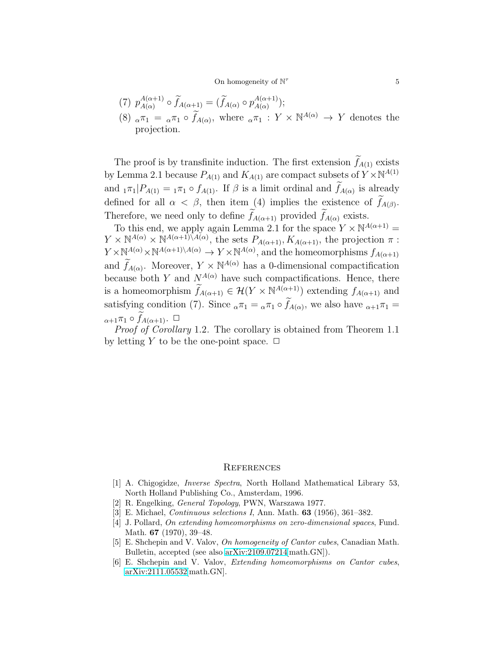## On homogeneity of  $\mathbb{N}^{\tau}$

$$
(7) \ \ p_{A(\alpha)}^{A(\alpha+1)} \circ \widetilde{f}_{A(\alpha+1)} = (\widetilde{f}_{A(\alpha)} \circ p_{A(\alpha)}^{A(\alpha+1)});
$$

(8)  $_{\alpha}\pi_1 = \alpha\pi_1 \circ \widetilde{f}_{A(\alpha)}$ , where  $_{\alpha}\pi_1 : Y \times \mathbb{N}^{A(\alpha)} \to Y$  denotes the projection.

The proof is by transfinite induction. The first extension  $f_{A(1)}$  exists by Lemma 2.1 because  $P_{A(1)}$  and  $K_{A(1)}$  are compact subsets of  $Y \times \mathbb{N}^{A(1)}$ and  $_{1}\pi_{1}$  |  $P_{A(1)} = _{1}\pi_{1} \circ f_{A(1)}$ . If  $\beta$  is a limit ordinal and  $f_{A(\alpha)}$  is already defined for all  $\alpha < \beta$ , then item (4) implies the existence of  $f_{A(\beta)}$ . Therefore, we need only to define  $\widetilde{f}_{A(\alpha+1)}$  provided  $\widetilde{f}_{A(\alpha)}$  exists.

To this end, we apply again Lemma 2.1 for the space  $Y \times \mathbb{N}^{A(\alpha+1)} =$  $Y \times \mathbb{N}^{A(\alpha)} \times \mathbb{N}^{A(\alpha+1)\setminus A(\alpha)}$ , the sets  $P_{A(\alpha+1)}, K_{A(\alpha+1)}$ , the projection  $\pi$ :  $Y \times \mathbb{N}^{A(\alpha)} \times \mathbb{N}^{A(\alpha+1)\setminus A(\alpha)} \to Y \times \mathbb{N}^{A(\alpha)}$ , and the homeomorphisms  $f_{A(\alpha+1)}$ and  $\widetilde{f}_{A(\alpha)}$ . Moreover,  $Y \times \mathbb{N}^{A(\alpha)}$  has a 0-dimensional compactification because both Y and  $N^{A(\alpha)}$  have such compactifications. Hence, there is a homeomorphism  $\widetilde{f}_{A(\alpha+1)} \in \mathcal{H}(Y \times \mathbb{N}^{A(\alpha+1)})$  extending  $f_{A(\alpha+1)}$  and satisfying condition (7). Since  $_{\alpha}\pi_1 = \alpha \pi_1 \circ f_{A(\alpha)}$ , we also have  $_{\alpha+1}\pi_1 =$  $\alpha_{n+1}\pi_1\circ \widetilde{f}_{A(\alpha+1)}$ .  $\Box$ 

Proof of Corollary 1.2. The corollary is obtained from Theorem 1.1 by letting Y to be the one-point space.  $\Box$ 

#### **REFERENCES**

- <span id="page-4-4"></span>[1] A. Chigogidze, Inverse Spectra, North Holland Mathematical Library 53, North Holland Publishing Co., Amsterdam, 1996.
- <span id="page-4-5"></span><span id="page-4-3"></span>[2] R. Engelking, General Topology, PWN, Warszawa 1977.
- <span id="page-4-0"></span>[3] E. Michael, Continuous selections I, Ann. Math. 63 (1956), 361–382.
- [4] J. Pollard, On extending homeomorphisms on zero-dimensional spaces, Fund. Math. 67 (1970), 39–48.
- <span id="page-4-1"></span>[5] E. Shchepin and V. Valov, On homogeneity of Cantor cubes, Canadian Math. Bulletin, accepted (see also [arXiv:2109.07214\[](http://arxiv.org/abs/2109.07214)math.GN]).
- <span id="page-4-2"></span>[6] E. Shchepin and V. Valov, Extending homeomorphisms on Cantor cubes, [arXiv:2111.05532\[](http://arxiv.org/abs/2111.05532)math.GN].